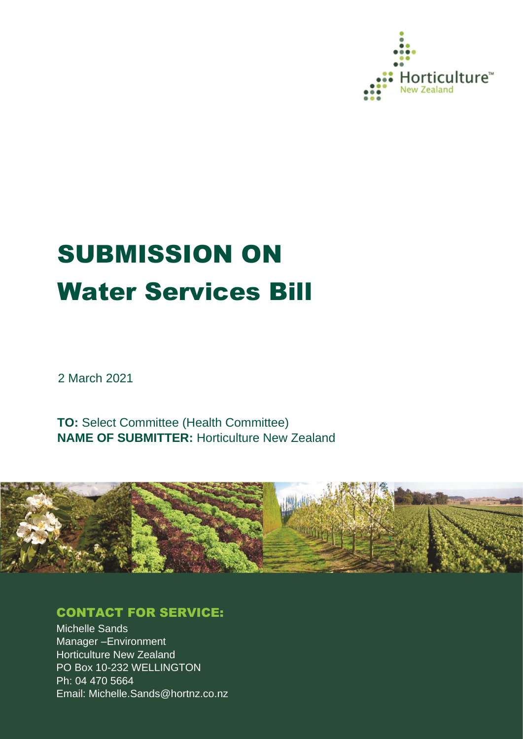

# SUBMISSION ON Water Services Bill

2 March 2021

**TO:** Select Committee (Health Committee) **NAME OF SUBMITTER:** Horticulture New Zealand



# CONTACT FOR SERVICE:

Michelle Sands Manager –Environment Horticulture New Zealand PO Box 10-232 WELLINGTON Ph: 04 470 5664 Email: Michelle.Sands@hortnz.co.nz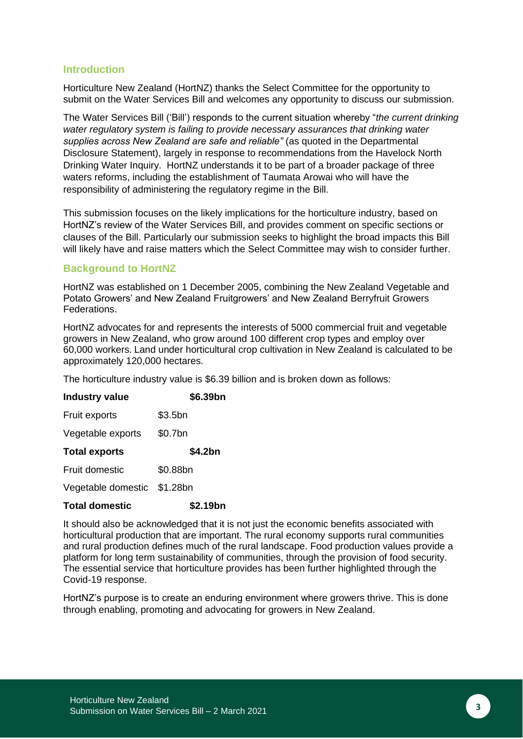#### **Introduction**

Horticulture New Zealand (HortNZ) thanks the Select Committee for the opportunity to submit on the Water Services Bill and welcomes any opportunity to discuss our submission.

The Water Services Bill ('Bill') responds to the current situation whereby "*the current drinking water regulatory system is failing to provide necessary assurances that drinking water supplies across New Zealand are safe and reliable"* (as quoted in the Departmental Disclosure Statement), largely in response to recommendations from the Havelock North Drinking Water Inquiry. HortNZ understands it to be part of a broader package of three waters reforms, including the establishment of Taumata Arowai who will have the responsibility of administering the regulatory regime in the Bill.

This submission focuses on the likely implications for the horticulture industry, based on HortNZ's review of the Water Services Bill, and provides comment on specific sections or clauses of the Bill. Particularly our submission seeks to highlight the broad impacts this Bill will likely have and raise matters which the Select Committee may wish to consider further.

#### **Background to HortNZ**

HortNZ was established on 1 December 2005, combining the New Zealand Vegetable and Potato Growers' and New Zealand Fruitgrowers' and New Zealand Berryfruit Growers Federations.

HortNZ advocates for and represents the interests of 5000 commercial fruit and vegetable growers in New Zealand, who grow around 100 different crop types and employ over 60,000 workers. Land under horticultural crop cultivation in New Zealand is calculated to be approximately 120,000 hectares.

The horticulture industry value is \$6.39 billion and is broken down as follows:

| <b>Industry value</b> | \$6.39bn  |
|-----------------------|-----------|
| Fruit exports         | $$3.5$ bn |
| Vegetable exports     | \$0.7bn   |
| <b>Total exports</b>  | \$4.2bn   |
| <b>Fruit domestic</b> | \$0.88bn  |
| Vegetable domestic    | \$1.28bn  |
| <b>Total domestic</b> | \$2.19bn  |

It should also be acknowledged that it is not just the economic benefits associated with horticultural production that are important. The rural economy supports rural communities and rural production defines much of the rural landscape. Food production values provide a platform for long term sustainability of communities, through the provision of food security. The essential service that horticulture provides has been further highlighted through the Covid-19 response.

HortNZ's purpose is to create an enduring environment where growers thrive. This is done through enabling, promoting and advocating for growers in New Zealand.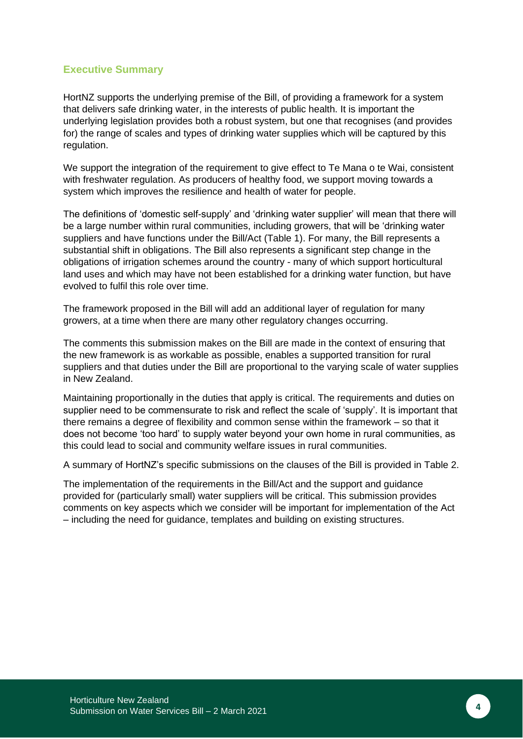## **Executive Summary**

HortNZ supports the underlying premise of the Bill, of providing a framework for a system that delivers safe drinking water, in the interests of public health. It is important the underlying legislation provides both a robust system, but one that recognises (and provides for) the range of scales and types of drinking water supplies which will be captured by this regulation.

We support the integration of the requirement to give effect to Te Mana o te Wai, consistent with freshwater regulation. As producers of healthy food, we support moving towards a system which improves the resilience and health of water for people.

The definitions of 'domestic self-supply' and 'drinking water supplier' will mean that there will be a large number within rural communities, including growers, that will be 'drinking water suppliers and have functions under the Bill/Act (Table 1). For many, the Bill represents a substantial shift in obligations. The Bill also represents a significant step change in the obligations of irrigation schemes around the country - many of which support horticultural land uses and which may have not been established for a drinking water function, but have evolved to fulfil this role over time.

The framework proposed in the Bill will add an additional layer of regulation for many growers, at a time when there are many other regulatory changes occurring.

The comments this submission makes on the Bill are made in the context of ensuring that the new framework is as workable as possible, enables a supported transition for rural suppliers and that duties under the Bill are proportional to the varying scale of water supplies in New Zealand.

Maintaining proportionally in the duties that apply is critical. The requirements and duties on supplier need to be commensurate to risk and reflect the scale of 'supply'. It is important that there remains a degree of flexibility and common sense within the framework – so that it does not become 'too hard' to supply water beyond your own home in rural communities, as this could lead to social and community welfare issues in rural communities.

A summary of HortNZ's specific submissions on the clauses of the Bill is provided in Table 2.

The implementation of the requirements in the Bill/Act and the support and guidance provided for (particularly small) water suppliers will be critical. This submission provides comments on key aspects which we consider will be important for implementation of the Act – including the need for guidance, templates and building on existing structures.

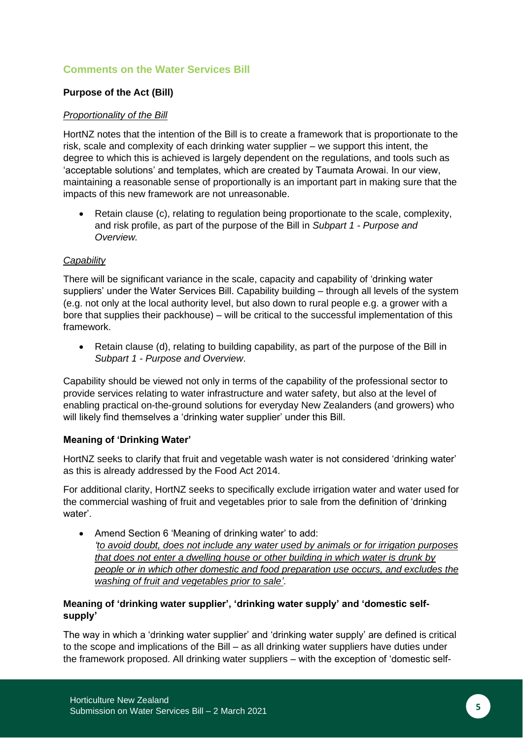## **Comments on the Water Services Bill**

## **Purpose of the Act (Bill)**

## *Proportionality of the Bill*

HortNZ notes that the intention of the Bill is to create a framework that is proportionate to the risk, scale and complexity of each drinking water supplier – we support this intent, the degree to which this is achieved is largely dependent on the regulations, and tools such as 'acceptable solutions' and templates, which are created by Taumata Arowai. In our view, maintaining a reasonable sense of proportionally is an important part in making sure that the impacts of this new framework are not unreasonable.

• Retain clause (c), relating to regulation being proportionate to the scale, complexity, and risk profile, as part of the purpose of the Bill in *Subpart 1 - Purpose and Overview.*

#### *Capability*

There will be significant variance in the scale, capacity and capability of 'drinking water suppliers' under the Water Services Bill. Capability building – through all levels of the system (e.g. not only at the local authority level, but also down to rural people e.g. a grower with a bore that supplies their packhouse) – will be critical to the successful implementation of this framework.

• Retain clause (d), relating to building capability, as part of the purpose of the Bill in *Subpart 1 - Purpose and Overview*.

Capability should be viewed not only in terms of the capability of the professional sector to provide services relating to water infrastructure and water safety, but also at the level of enabling practical on-the-ground solutions for everyday New Zealanders (and growers) who will likely find themselves a 'drinking water supplier' under this Bill.

#### **Meaning of 'Drinking Water'**

HortNZ seeks to clarify that fruit and vegetable wash water is not considered 'drinking water' as this is already addressed by the Food Act 2014.

For additional clarity, HortNZ seeks to specifically exclude irrigation water and water used for the commercial washing of fruit and vegetables prior to sale from the definition of 'drinking water'.

• Amend Section 6 'Meaning of drinking water' to add: *'to avoid doubt, does not include any water used by animals or for irrigation purposes that does not enter a dwelling house or other building in which water is drunk by people or in which other domestic and food preparation use occurs, and excludes the washing of fruit and vegetables prior to sale'*.

## **Meaning of 'drinking water supplier', 'drinking water supply' and 'domestic selfsupply'**

The way in which a 'drinking water supplier' and 'drinking water supply' are defined is critical to the scope and implications of the Bill – as all drinking water suppliers have duties under the framework proposed. All drinking water suppliers – with the exception of 'domestic self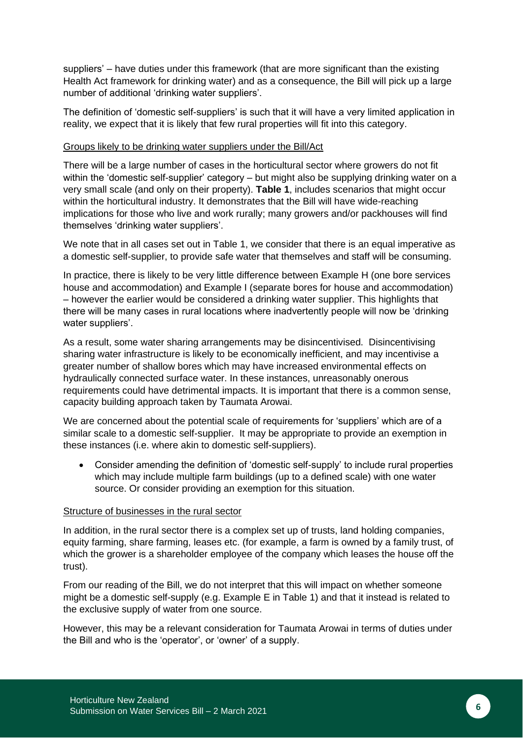suppliers' – have duties under this framework (that are more significant than the existing Health Act framework for drinking water) and as a consequence, the Bill will pick up a large number of additional 'drinking water suppliers'.

The definition of 'domestic self-suppliers' is such that it will have a very limited application in reality, we expect that it is likely that few rural properties will fit into this category.

#### Groups likely to be drinking water suppliers under the Bill/Act

There will be a large number of cases in the horticultural sector where growers do not fit within the 'domestic self-supplier' category – but might also be supplying drinking water on a very small scale (and only on their property). **[Table 1](#page-6-0)**, includes scenarios that might occur within the horticultural industry. It demonstrates that the Bill will have wide-reaching implications for those who live and work rurally; many growers and/or packhouses will find themselves 'drinking water suppliers'.

We note that in all cases set out in Table 1, we consider that there is an equal imperative as a domestic self-supplier, to provide safe water that themselves and staff will be consuming.

In practice, there is likely to be very little difference between Example H (one bore services house and accommodation) and Example I (separate bores for house and accommodation) – however the earlier would be considered a drinking water supplier. This highlights that there will be many cases in rural locations where inadvertently people will now be 'drinking water suppliers'.

As a result, some water sharing arrangements may be disincentivised. Disincentivising sharing water infrastructure is likely to be economically inefficient, and may incentivise a greater number of shallow bores which may have increased environmental effects on hydraulically connected surface water. In these instances, unreasonably onerous requirements could have detrimental impacts. It is important that there is a common sense, capacity building approach taken by Taumata Arowai.

We are concerned about the potential scale of requirements for 'suppliers' which are of a similar scale to a domestic self-supplier. It may be appropriate to provide an exemption in these instances (i.e. where akin to domestic self-suppliers).

• Consider amending the definition of 'domestic self-supply' to include rural properties which may include multiple farm buildings (up to a defined scale) with one water source. Or consider providing an exemption for this situation.

#### Structure of businesses in the rural sector

In addition, in the rural sector there is a complex set up of trusts, land holding companies, equity farming, share farming, leases etc. (for example, a farm is owned by a family trust, of which the grower is a shareholder employee of the company which leases the house off the trust).

From our reading of the Bill, we do not interpret that this will impact on whether someone might be a domestic self-supply (e.g. Example E in Table 1) and that it instead is related to the exclusive supply of water from one source.

However, this may be a relevant consideration for Taumata Arowai in terms of duties under the Bill and who is the 'operator', or 'owner' of a supply.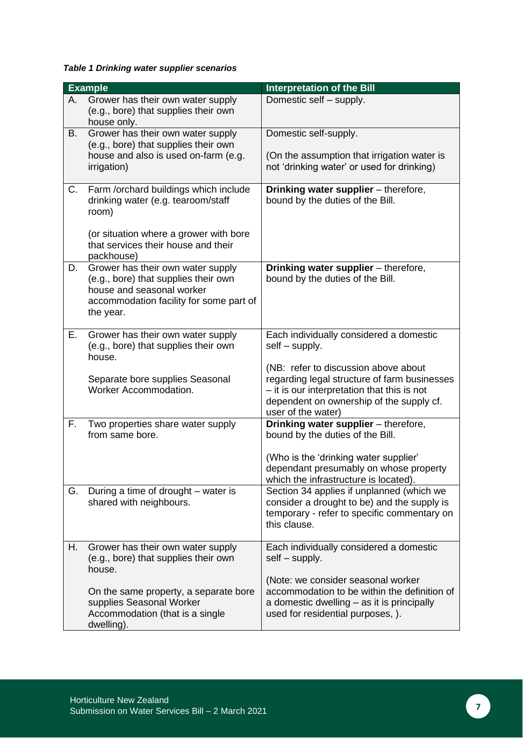<span id="page-6-0"></span>*Table 1 Drinking water supplier scenarios*

|    | <b>Example</b>                                                                                                                                                                                            | <b>Interpretation of the Bill</b>                                                                                                                                                                                                                                  |
|----|-----------------------------------------------------------------------------------------------------------------------------------------------------------------------------------------------------------|--------------------------------------------------------------------------------------------------------------------------------------------------------------------------------------------------------------------------------------------------------------------|
| А. | Grower has their own water supply<br>(e.g., bore) that supplies their own<br>house only.                                                                                                                  | Domestic self - supply.                                                                                                                                                                                                                                            |
| B. | Grower has their own water supply<br>(e.g., bore) that supplies their own<br>house and also is used on-farm (e.g.<br>irrigation)                                                                          | Domestic self-supply.<br>(On the assumption that irrigation water is<br>not 'drinking water' or used for drinking)                                                                                                                                                 |
| C. | Farm /orchard buildings which include<br>drinking water (e.g. tearoom/staff<br>room)<br>(or situation where a grower with bore<br>that services their house and their                                     | Drinking water supplier - therefore,<br>bound by the duties of the Bill.                                                                                                                                                                                           |
| D. | packhouse)<br>Grower has their own water supply<br>(e.g., bore) that supplies their own<br>house and seasonal worker<br>accommodation facility for some part of<br>the year.                              | Drinking water supplier - therefore,<br>bound by the duties of the Bill.                                                                                                                                                                                           |
| Е. | Grower has their own water supply<br>(e.g., bore) that supplies their own<br>house.<br>Separate bore supplies Seasonal<br>Worker Accommodation.                                                           | Each individually considered a domestic<br>$self-supply.$<br>(NB: refer to discussion above about<br>regarding legal structure of farm businesses<br>- it is our interpretation that this is not<br>dependent on ownership of the supply cf.<br>user of the water) |
| F. | Two properties share water supply<br>from same bore.                                                                                                                                                      | Drinking water supplier - therefore,<br>bound by the duties of the Bill.<br>(Who is the 'drinking water supplier'<br>dependant presumably on whose property<br>which the infrastructure is located).                                                               |
| G. | During a time of drought – water is<br>shared with neighbours.                                                                                                                                            | Section 34 applies if unplanned (which we<br>consider a drought to be) and the supply is<br>temporary - refer to specific commentary on<br>this clause.                                                                                                            |
| Η. | Grower has their own water supply<br>(e.g., bore) that supplies their own<br>house.<br>On the same property, a separate bore<br>supplies Seasonal Worker<br>Accommodation (that is a single<br>dwelling). | Each individually considered a domestic<br>$self-supply.$<br>(Note: we consider seasonal worker<br>accommodation to be within the definition of<br>a domestic dwelling – as it is principally<br>used for residential purposes, ).                                 |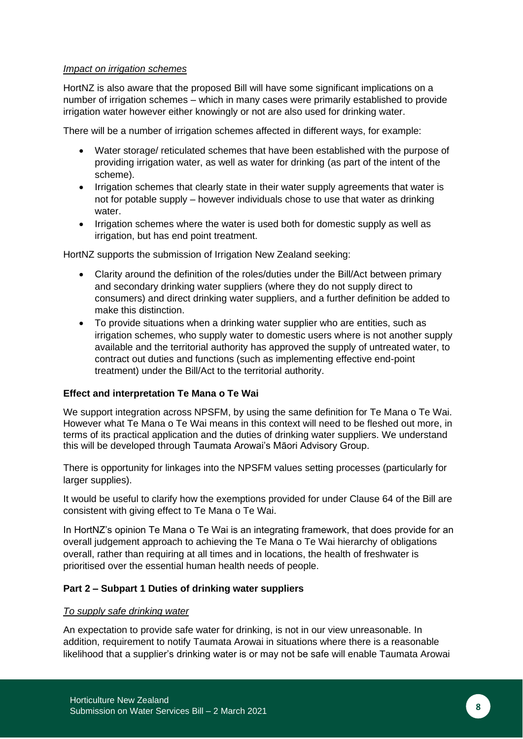#### *Impact on irrigation schemes*

HortNZ is also aware that the proposed Bill will have some significant implications on a number of irrigation schemes – which in many cases were primarily established to provide irrigation water however either knowingly or not are also used for drinking water.

There will be a number of irrigation schemes affected in different ways, for example:

- Water storage/ reticulated schemes that have been established with the purpose of providing irrigation water, as well as water for drinking (as part of the intent of the scheme).
- Irrigation schemes that clearly state in their water supply agreements that water is not for potable supply – however individuals chose to use that water as drinking water.
- Irrigation schemes where the water is used both for domestic supply as well as irrigation, but has end point treatment.

HortNZ supports the submission of Irrigation New Zealand seeking:

- Clarity around the definition of the roles/duties under the Bill/Act between primary and secondary drinking water suppliers (where they do not supply direct to consumers) and direct drinking water suppliers, and a further definition be added to make this distinction.
- To provide situations when a drinking water supplier who are entities, such as irrigation schemes, who supply water to domestic users where is not another supply available and the territorial authority has approved the supply of untreated water, to contract out duties and functions (such as implementing effective end-point treatment) under the Bill/Act to the territorial authority.

#### **Effect and interpretation Te Mana o Te Wai**

We support integration across NPSFM, by using the same definition for Te Mana o Te Wai. However what Te Mana o Te Wai means in this context will need to be fleshed out more, in terms of its practical application and the duties of drinking water suppliers. We understand this will be developed through Taumata Arowai's Māori Advisory Group.

There is opportunity for linkages into the NPSFM values setting processes (particularly for larger supplies).

It would be useful to clarify how the exemptions provided for under Clause 64 of the Bill are consistent with giving effect to Te Mana o Te Wai.

In HortNZ's opinion Te Mana o Te Wai is an integrating framework, that does provide for an overall judgement approach to achieving the Te Mana o Te Wai hierarchy of obligations overall, rather than requiring at all times and in locations, the health of freshwater is prioritised over the essential human health needs of people.

#### **Part 2 – Subpart 1 Duties of drinking water suppliers**

#### *To supply safe drinking water*

An expectation to provide safe water for drinking, is not in our view unreasonable. In addition, requirement to notify Taumata Arowai in situations where there is a reasonable likelihood that a supplier's drinking water is or may not be safe will enable Taumata Arowai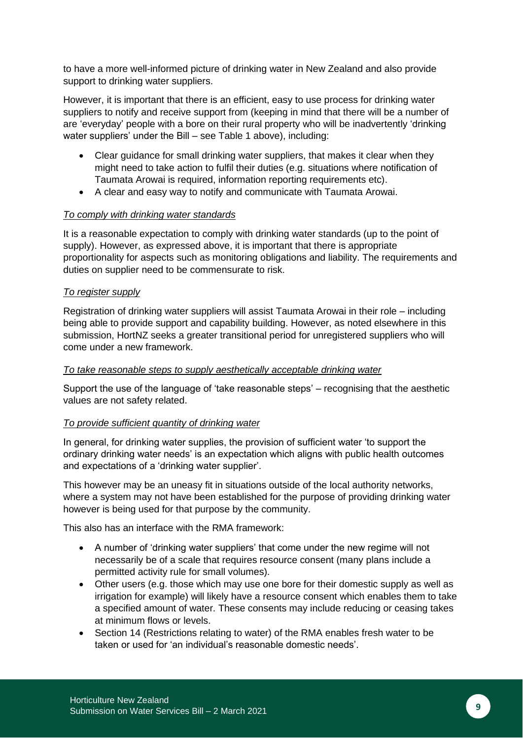to have a more well-informed picture of drinking water in New Zealand and also provide support to drinking water suppliers.

However, it is important that there is an efficient, easy to use process for drinking water suppliers to notify and receive support from (keeping in mind that there will be a number of are 'everyday' people with a bore on their rural property who will be inadvertently 'drinking water suppliers' under the Bill – see Table 1 above), including:

- Clear guidance for small drinking water suppliers, that makes it clear when they might need to take action to fulfil their duties (e.g. situations where notification of Taumata Arowai is required, information reporting requirements etc).
- A clear and easy way to notify and communicate with Taumata Arowai.

#### *To comply with drinking water standards*

It is a reasonable expectation to comply with drinking water standards (up to the point of supply). However, as expressed above, it is important that there is appropriate proportionality for aspects such as monitoring obligations and liability. The requirements and duties on supplier need to be commensurate to risk.

#### *To register supply*

Registration of drinking water suppliers will assist Taumata Arowai in their role – including being able to provide support and capability building. However, as noted elsewhere in this submission, HortNZ seeks a greater transitional period for unregistered suppliers who will come under a new framework.

#### *To take reasonable steps to supply aesthetically acceptable drinking water*

Support the use of the language of 'take reasonable steps' – recognising that the aesthetic values are not safety related.

#### *To provide sufficient quantity of drinking water*

In general, for drinking water supplies, the provision of sufficient water 'to support the ordinary drinking water needs' is an expectation which aligns with public health outcomes and expectations of a 'drinking water supplier'.

This however may be an uneasy fit in situations outside of the local authority networks, where a system may not have been established for the purpose of providing drinking water however is being used for that purpose by the community.

This also has an interface with the RMA framework:

- A number of 'drinking water suppliers' that come under the new regime will not necessarily be of a scale that requires resource consent (many plans include a permitted activity rule for small volumes).
- Other users (e.g. those which may use one bore for their domestic supply as well as irrigation for example) will likely have a resource consent which enables them to take a specified amount of water. These consents may include reducing or ceasing takes at minimum flows or levels.
- Section 14 (Restrictions relating to water) of the RMA enables fresh water to be taken or used for 'an individual's reasonable domestic needs'.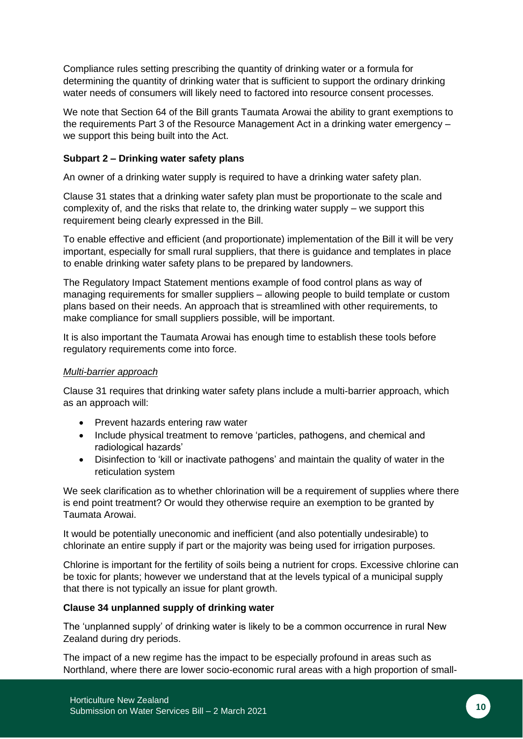Compliance rules setting prescribing the quantity of drinking water or a formula for determining the quantity of drinking water that is sufficient to support the ordinary drinking water needs of consumers will likely need to factored into resource consent processes.

We note that Section 64 of the Bill grants Taumata Arowai the ability to grant exemptions to the requirements Part 3 of the Resource Management Act in a drinking water emergency – we support this being built into the Act.

## **Subpart 2 – Drinking water safety plans**

An owner of a drinking water supply is required to have a drinking water safety plan.

Clause 31 states that a drinking water safety plan must be proportionate to the scale and complexity of, and the risks that relate to, the drinking water supply – we support this requirement being clearly expressed in the Bill.

To enable effective and efficient (and proportionate) implementation of the Bill it will be very important, especially for small rural suppliers, that there is guidance and templates in place to enable drinking water safety plans to be prepared by landowners.

The Regulatory Impact Statement mentions example of food control plans as way of managing requirements for smaller suppliers – allowing people to build template or custom plans based on their needs. An approach that is streamlined with other requirements, to make compliance for small suppliers possible, will be important.

It is also important the Taumata Arowai has enough time to establish these tools before regulatory requirements come into force.

#### *Multi-barrier approach*

Clause 31 requires that drinking water safety plans include a multi-barrier approach, which as an approach will:

- Prevent hazards entering raw water
- Include physical treatment to remove 'particles, pathogens, and chemical and radiological hazards'
- Disinfection to 'kill or inactivate pathogens' and maintain the quality of water in the reticulation system

We seek clarification as to whether chlorination will be a requirement of supplies where there is end point treatment? Or would they otherwise require an exemption to be granted by Taumata Arowai.

It would be potentially uneconomic and inefficient (and also potentially undesirable) to chlorinate an entire supply if part or the majority was being used for irrigation purposes.

Chlorine is important for the fertility of soils being a nutrient for crops. Excessive chlorine can be toxic for plants; however we understand that at the levels typical of a municipal supply that there is not typically an issue for plant growth.

## **Clause 34 unplanned supply of drinking water**

The 'unplanned supply' of drinking water is likely to be a common occurrence in rural New Zealand during dry periods.

The impact of a new regime has the impact to be especially profound in areas such as Northland, where there are lower socio-economic rural areas with a high proportion of small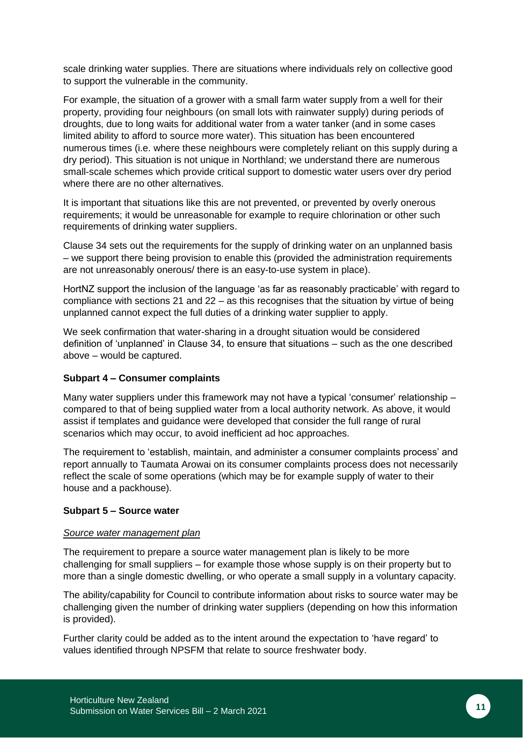scale drinking water supplies. There are situations where individuals rely on collective good to support the vulnerable in the community.

For example, the situation of a grower with a small farm water supply from a well for their property, providing four neighbours (on small lots with rainwater supply) during periods of droughts, due to long waits for additional water from a water tanker (and in some cases limited ability to afford to source more water). This situation has been encountered numerous times (i.e. where these neighbours were completely reliant on this supply during a dry period). This situation is not unique in Northland; we understand there are numerous small-scale schemes which provide critical support to domestic water users over dry period where there are no other alternatives.

It is important that situations like this are not prevented, or prevented by overly onerous requirements; it would be unreasonable for example to require chlorination or other such requirements of drinking water suppliers.

Clause 34 sets out the requirements for the supply of drinking water on an unplanned basis – we support there being provision to enable this (provided the administration requirements are not unreasonably onerous/ there is an easy-to-use system in place).

HortNZ support the inclusion of the language 'as far as reasonably practicable' with regard to compliance with sections 21 and 22 – as this recognises that the situation by virtue of being unplanned cannot expect the full duties of a drinking water supplier to apply.

We seek confirmation that water-sharing in a drought situation would be considered definition of 'unplanned' in Clause 34, to ensure that situations – such as the one described above – would be captured.

#### **Subpart 4 – Consumer complaints**

Many water suppliers under this framework may not have a typical 'consumer' relationship – compared to that of being supplied water from a local authority network. As above, it would assist if templates and guidance were developed that consider the full range of rural scenarios which may occur, to avoid inefficient ad hoc approaches.

The requirement to 'establish, maintain, and administer a consumer complaints process' and report annually to Taumata Arowai on its consumer complaints process does not necessarily reflect the scale of some operations (which may be for example supply of water to their house and a packhouse).

#### **Subpart 5 – Source water**

#### *Source water management plan*

The requirement to prepare a source water management plan is likely to be more challenging for small suppliers – for example those whose supply is on their property but to more than a single domestic dwelling, or who operate a small supply in a voluntary capacity.

The ability/capability for Council to contribute information about risks to source water may be challenging given the number of drinking water suppliers (depending on how this information is provided).

Further clarity could be added as to the intent around the expectation to 'have regard' to values identified through NPSFM that relate to source freshwater body.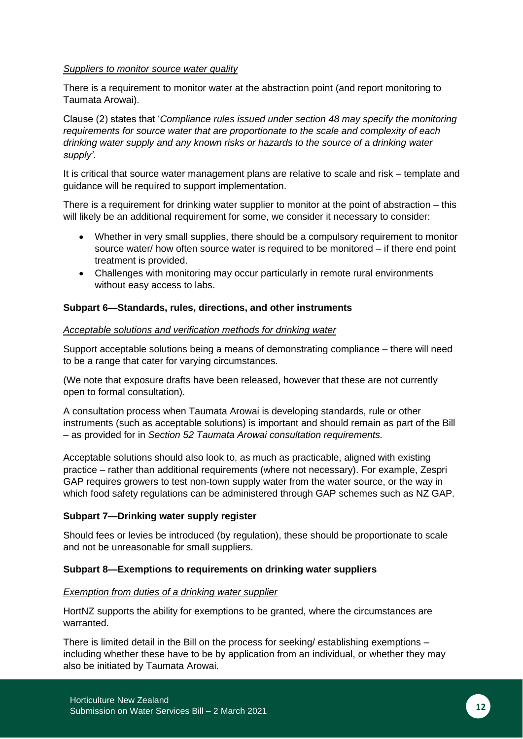#### *Suppliers to monitor source water quality*

There is a requirement to monitor water at the abstraction point (and report monitoring to Taumata Arowai).

Clause (2) states that '*Compliance rules issued under section 48 may specify the monitoring requirements for source water that are proportionate to the scale and complexity of each drinking water supply and any known risks or hazards to the source of a drinking water supply'*.

It is critical that source water management plans are relative to scale and risk – template and guidance will be required to support implementation.

There is a requirement for drinking water supplier to monitor at the point of abstraction – this will likely be an additional requirement for some, we consider it necessary to consider:

- Whether in very small supplies, there should be a compulsory requirement to monitor source water/ how often source water is required to be monitored – if there end point treatment is provided.
- Challenges with monitoring may occur particularly in remote rural environments without easy access to labs.

#### **Subpart 6—Standards, rules, directions, and other instruments**

#### *Acceptable solutions and verification methods for drinking water*

Support acceptable solutions being a means of demonstrating compliance – there will need to be a range that cater for varying circumstances.

(We note that exposure drafts have been released, however that these are not currently open to formal consultation).

A consultation process when Taumata Arowai is developing standards, rule or other instruments (such as acceptable solutions) is important and should remain as part of the Bill – as provided for in *Section 52 Taumata Arowai consultation requirements.*

Acceptable solutions should also look to, as much as practicable, aligned with existing practice – rather than additional requirements (where not necessary). For example, Zespri GAP requires growers to test non-town supply water from the water source, or the way in which food safety regulations can be administered through GAP schemes such as NZ GAP.

#### **Subpart 7—Drinking water supply register**

Should fees or levies be introduced (by regulation), these should be proportionate to scale and not be unreasonable for small suppliers.

#### **Subpart 8—Exemptions to requirements on drinking water suppliers**

#### *Exemption from duties of a drinking water supplier*

HortNZ supports the ability for exemptions to be granted, where the circumstances are warranted.

There is limited detail in the Bill on the process for seeking/ establishing exemptions – including whether these have to be by application from an individual, or whether they may also be initiated by Taumata Arowai.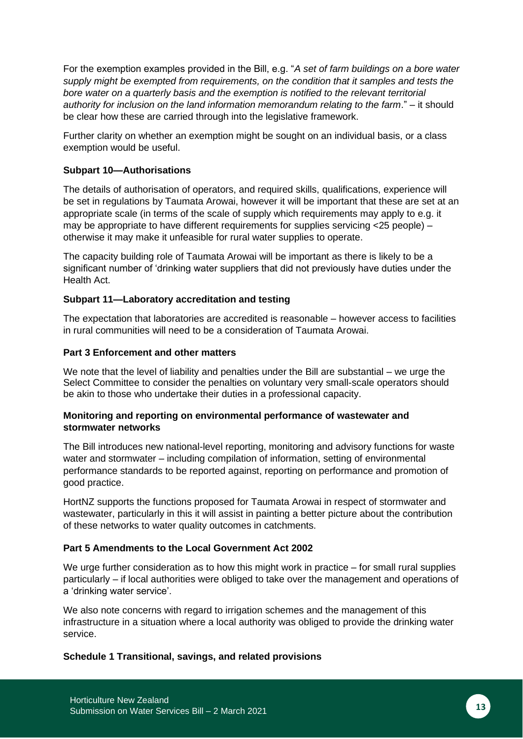For the exemption examples provided in the Bill, e.g. "*A set of farm buildings on a bore water supply might be exempted from requirements, on the condition that it samples and tests the bore water on a quarterly basis and the exemption is notified to the relevant territorial authority for inclusion on the land information memorandum relating to the farm*." – it should be clear how these are carried through into the legislative framework.

Further clarity on whether an exemption might be sought on an individual basis, or a class exemption would be useful.

#### **Subpart 10—Authorisations**

The details of authorisation of operators, and required skills, qualifications, experience will be set in regulations by Taumata Arowai, however it will be important that these are set at an appropriate scale (in terms of the scale of supply which requirements may apply to e.g. it may be appropriate to have different requirements for supplies servicing <25 people) – otherwise it may make it unfeasible for rural water supplies to operate.

The capacity building role of Taumata Arowai will be important as there is likely to be a significant number of 'drinking water suppliers that did not previously have duties under the Health Act.

## **Subpart 11—Laboratory accreditation and testing**

The expectation that laboratories are accredited is reasonable – however access to facilities in rural communities will need to be a consideration of Taumata Arowai.

#### **Part 3 Enforcement and other matters**

We note that the level of liability and penalties under the Bill are substantial – we urge the Select Committee to consider the penalties on voluntary very small-scale operators should be akin to those who undertake their duties in a professional capacity.

#### **Monitoring and reporting on environmental performance of wastewater and stormwater networks**

The Bill introduces new national-level reporting, monitoring and advisory functions for waste water and stormwater – including compilation of information, setting of environmental performance standards to be reported against, reporting on performance and promotion of good practice.

HortNZ supports the functions proposed for Taumata Arowai in respect of stormwater and wastewater, particularly in this it will assist in painting a better picture about the contribution of these networks to water quality outcomes in catchments.

#### **Part 5 Amendments to the Local Government Act 2002**

We urge further consideration as to how this might work in practice – for small rural supplies particularly – if local authorities were obliged to take over the management and operations of a 'drinking water service'.

We also note concerns with regard to irrigation schemes and the management of this infrastructure in a situation where a local authority was obliged to provide the drinking water service.

#### **Schedule 1 Transitional, savings, and related provisions**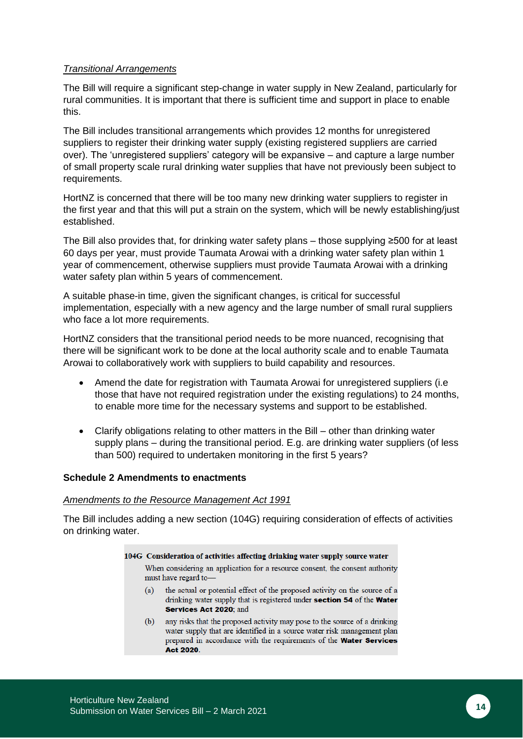#### *Transitional Arrangements*

The Bill will require a significant step-change in water supply in New Zealand, particularly for rural communities. It is important that there is sufficient time and support in place to enable this.

The Bill includes transitional arrangements which provides 12 months for unregistered suppliers to register their drinking water supply (existing registered suppliers are carried over). The 'unregistered suppliers' category will be expansive – and capture a large number of small property scale rural drinking water supplies that have not previously been subject to requirements.

HortNZ is concerned that there will be too many new drinking water suppliers to register in the first year and that this will put a strain on the system, which will be newly establishing/just established.

The Bill also provides that, for drinking water safety plans – those supplying ≥500 for at least 60 days per year, must provide Taumata Arowai with a drinking water safety plan within 1 year of commencement, otherwise suppliers must provide Taumata Arowai with a drinking water safety plan within 5 years of commencement.

A suitable phase-in time, given the significant changes, is critical for successful implementation, especially with a new agency and the large number of small rural suppliers who face a lot more requirements.

HortNZ considers that the transitional period needs to be more nuanced, recognising that there will be significant work to be done at the local authority scale and to enable Taumata Arowai to collaboratively work with suppliers to build capability and resources.

- Amend the date for registration with Taumata Arowai for unregistered suppliers (i.e. those that have not required registration under the existing regulations) to 24 months, to enable more time for the necessary systems and support to be established.
- Clarify obligations relating to other matters in the Bill other than drinking water supply plans – during the transitional period. E.g. are drinking water suppliers (of less than 500) required to undertaken monitoring in the first 5 years?

#### **Schedule 2 Amendments to enactments**

#### *Amendments to the Resource Management Act 1991*

The Bill includes adding a new section (104G) requiring consideration of effects of activities on drinking water.

#### 104G Consideration of activities affecting drinking water supply source water

When considering an application for a resource consent, the consent authority must have regard to-

- the actual or potential effect of the proposed activity on the source of a  $(a)$ drinking water supply that is registered under section 54 of the Water Services Act 2020; and
- any risks that the proposed activity may pose to the source of a drinking  $(b)$ water supply that are identified in a source water risk management plan prepared in accordance with the requirements of the Water Services Act 2020.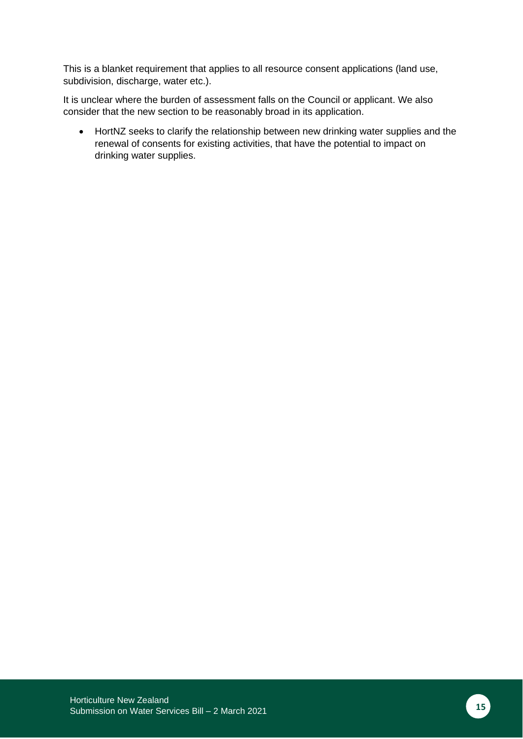This is a blanket requirement that applies to all resource consent applications (land use, subdivision, discharge, water etc.).

It is unclear where the burden of assessment falls on the Council or applicant. We also consider that the new section to be reasonably broad in its application.

• HortNZ seeks to clarify the relationship between new drinking water supplies and the renewal of consents for existing activities, that have the potential to impact on drinking water supplies.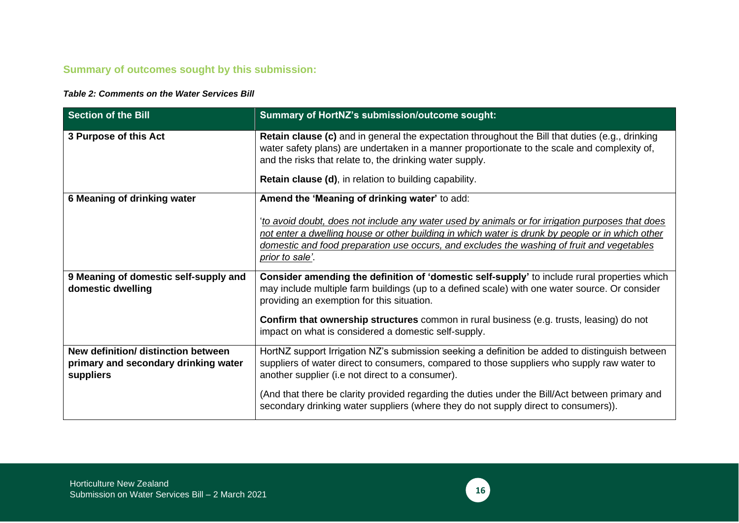## **Summary of outcomes sought by this submission:**

#### *Table 2: Comments on the Water Services Bill*

| <b>Section of the Bill</b>                                                               | Summary of HortNZ's submission/outcome sought:                                                                                                                                                                                                                                                                                                                                                                                                                                                                                                                                                                                                                                                                                          |
|------------------------------------------------------------------------------------------|-----------------------------------------------------------------------------------------------------------------------------------------------------------------------------------------------------------------------------------------------------------------------------------------------------------------------------------------------------------------------------------------------------------------------------------------------------------------------------------------------------------------------------------------------------------------------------------------------------------------------------------------------------------------------------------------------------------------------------------------|
| 3 Purpose of this Act                                                                    | <b>Retain clause (c)</b> and in general the expectation throughout the Bill that duties (e.g., drinking<br>water safety plans) are undertaken in a manner proportionate to the scale and complexity of,<br>and the risks that relate to, the drinking water supply.<br><b>Retain clause (d), in relation to building capability.</b>                                                                                                                                                                                                                                                                                                                                                                                                    |
| 6 Meaning of drinking water                                                              | Amend the 'Meaning of drinking water' to add:                                                                                                                                                                                                                                                                                                                                                                                                                                                                                                                                                                                                                                                                                           |
| 9 Meaning of domestic self-supply and<br>domestic dwelling                               | to avoid doubt, does not include any water used by animals or for irrigation purposes that does<br>not enter a dwelling house or other building in which water is drunk by people or in which other<br>domestic and food preparation use occurs, and excludes the washing of fruit and vegetables<br><u>prior to sale'</u> .<br>Consider amending the definition of 'domestic self-supply' to include rural properties which<br>may include multiple farm buildings (up to a defined scale) with one water source. Or consider<br>providing an exemption for this situation.<br><b>Confirm that ownership structures</b> common in rural business (e.g. trusts, leasing) do not<br>impact on what is considered a domestic self-supply. |
| New definition/ distinction between<br>primary and secondary drinking water<br>suppliers | HortNZ support Irrigation NZ's submission seeking a definition be added to distinguish between<br>suppliers of water direct to consumers, compared to those suppliers who supply raw water to<br>another supplier (i.e not direct to a consumer).<br>(And that there be clarity provided regarding the duties under the Bill/Act between primary and<br>secondary drinking water suppliers (where they do not supply direct to consumers)).                                                                                                                                                                                                                                                                                             |

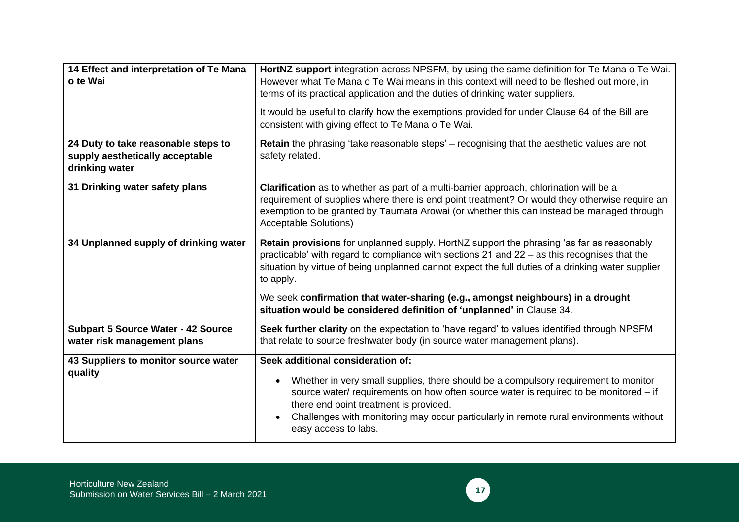| 14 Effect and interpretation of Te Mana<br>o te Wai<br>24 Duty to take reasonable steps to | HortNZ support integration across NPSFM, by using the same definition for Te Mana o Te Wai.<br>However what Te Mana o Te Wai means in this context will need to be fleshed out more, in<br>terms of its practical application and the duties of drinking water suppliers.<br>It would be useful to clarify how the exemptions provided for under Clause 64 of the Bill are<br>consistent with giving effect to Te Mana o Te Wai.<br>Retain the phrasing 'take reasonable steps' - recognising that the aesthetic values are not |
|--------------------------------------------------------------------------------------------|---------------------------------------------------------------------------------------------------------------------------------------------------------------------------------------------------------------------------------------------------------------------------------------------------------------------------------------------------------------------------------------------------------------------------------------------------------------------------------------------------------------------------------|
| supply aesthetically acceptable<br>drinking water                                          | safety related.                                                                                                                                                                                                                                                                                                                                                                                                                                                                                                                 |
| 31 Drinking water safety plans                                                             | Clarification as to whether as part of a multi-barrier approach, chlorination will be a<br>requirement of supplies where there is end point treatment? Or would they otherwise require an<br>exemption to be granted by Taumata Arowai (or whether this can instead be managed through<br><b>Acceptable Solutions)</b>                                                                                                                                                                                                          |
| 34 Unplanned supply of drinking water                                                      | Retain provisions for unplanned supply. HortNZ support the phrasing 'as far as reasonably<br>practicable' with regard to compliance with sections 21 and 22 – as this recognises that the<br>situation by virtue of being unplanned cannot expect the full duties of a drinking water supplier<br>to apply.<br>We seek confirmation that water-sharing (e.g., amongst neighbours) in a drought                                                                                                                                  |
|                                                                                            | situation would be considered definition of 'unplanned' in Clause 34.                                                                                                                                                                                                                                                                                                                                                                                                                                                           |
| <b>Subpart 5 Source Water - 42 Source</b><br>water risk management plans                   | Seek further clarity on the expectation to 'have regard' to values identified through NPSFM<br>that relate to source freshwater body (in source water management plans).                                                                                                                                                                                                                                                                                                                                                        |
| 43 Suppliers to monitor source water<br>quality                                            | Seek additional consideration of:<br>Whether in very small supplies, there should be a compulsory requirement to monitor<br>source water/ requirements on how often source water is required to be monitored - if<br>there end point treatment is provided.<br>Challenges with monitoring may occur particularly in remote rural environments without<br>easy access to labs.                                                                                                                                                   |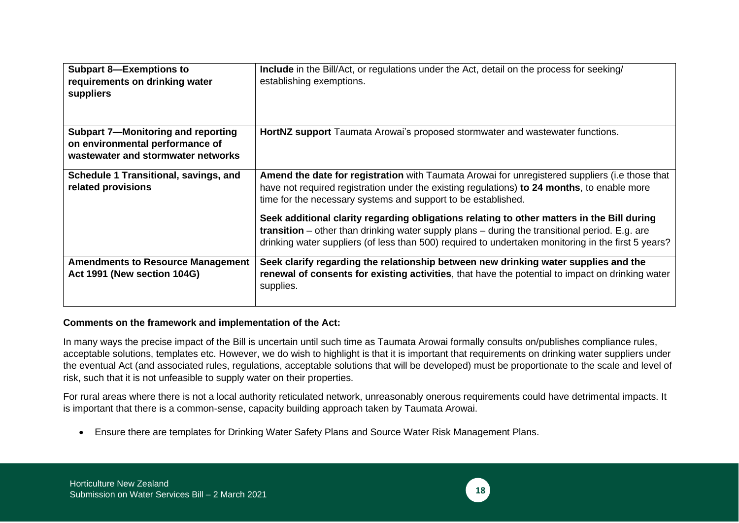| <b>Subpart 8-Exemptions to</b><br>requirements on drinking water<br>suppliers                               | Include in the Bill/Act, or regulations under the Act, detail on the process for seeking/<br>establishing exemptions.                                                                                                                                                                                                                                                                                                                                                                                                                                                        |
|-------------------------------------------------------------------------------------------------------------|------------------------------------------------------------------------------------------------------------------------------------------------------------------------------------------------------------------------------------------------------------------------------------------------------------------------------------------------------------------------------------------------------------------------------------------------------------------------------------------------------------------------------------------------------------------------------|
| Subpart 7-Monitoring and reporting<br>on environmental performance of<br>wastewater and stormwater networks | <b>HortNZ support</b> Taumata Arowai's proposed stormwater and wastewater functions.                                                                                                                                                                                                                                                                                                                                                                                                                                                                                         |
| Schedule 1 Transitional, savings, and<br>related provisions                                                 | Amend the date for registration with Taumata Arowai for unregistered suppliers (i.e those that<br>have not required registration under the existing regulations) to 24 months, to enable more<br>time for the necessary systems and support to be established.<br>Seek additional clarity regarding obligations relating to other matters in the Bill during<br><b>transition</b> – other than drinking water supply plans – during the transitional period. E.g. are<br>drinking water suppliers (of less than 500) required to undertaken monitoring in the first 5 years? |
| <b>Amendments to Resource Management</b><br>Act 1991 (New section 104G)                                     | Seek clarify regarding the relationship between new drinking water supplies and the<br>renewal of consents for existing activities, that have the potential to impact on drinking water<br>supplies.                                                                                                                                                                                                                                                                                                                                                                         |

#### **Comments on the framework and implementation of the Act:**

In many ways the precise impact of the Bill is uncertain until such time as Taumata Arowai formally consults on/publishes compliance rules, acceptable solutions, templates etc. However, we do wish to highlight is that it is important that requirements on drinking water suppliers under the eventual Act (and associated rules, regulations, acceptable solutions that will be developed) must be proportionate to the scale and level of risk, such that it is not unfeasible to supply water on their properties.

For rural areas where there is not a local authority reticulated network, unreasonably onerous requirements could have detrimental impacts. It is important that there is a common-sense, capacity building approach taken by Taumata Arowai.

• Ensure there are templates for Drinking Water Safety Plans and Source Water Risk Management Plans.